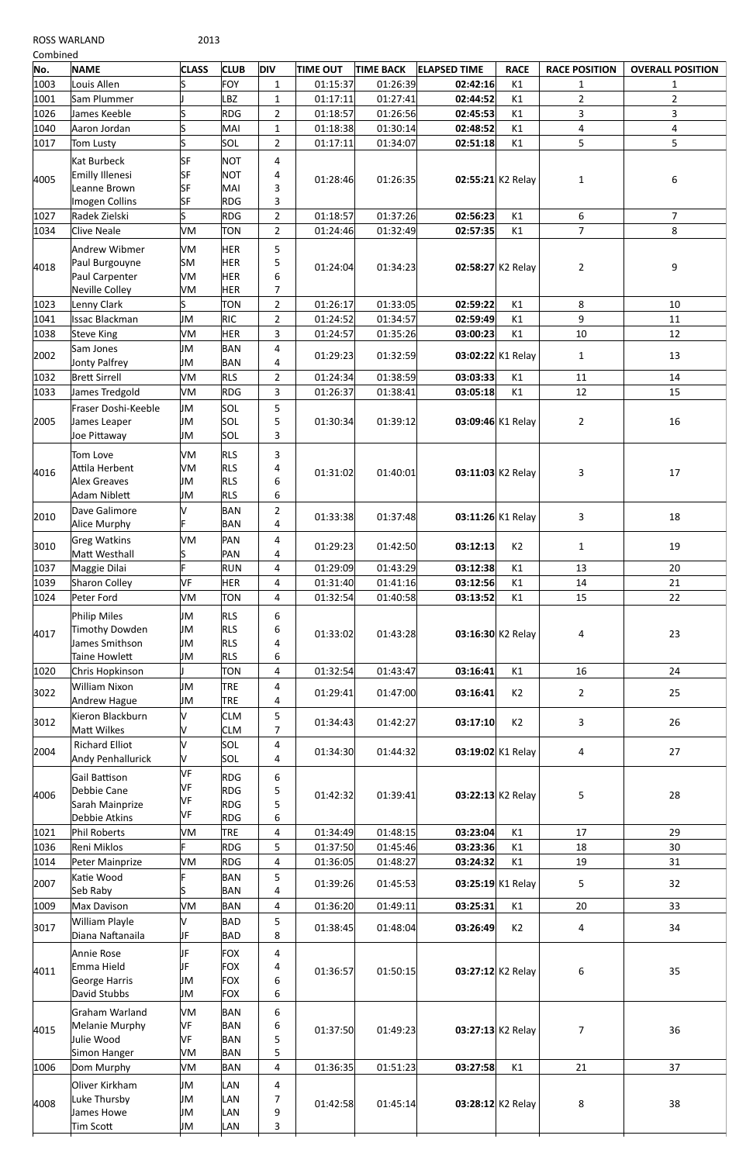ROSS WARLAND 2013

| Combined |                               |              |             |                         |                 |                  |                     |                   |                      |                         |
|----------|-------------------------------|--------------|-------------|-------------------------|-----------------|------------------|---------------------|-------------------|----------------------|-------------------------|
| No.      | <b>NAME</b>                   | <b>CLASS</b> | <b>CLUB</b> | <b>DIV</b>              | <b>TIME OUT</b> | <b>TIME BACK</b> | <b>ELAPSED TIME</b> | <b>RACE</b>       | <b>RACE POSITION</b> | <b>OVERALL POSITION</b> |
| 1003     | Louis Allen                   | S            | <b>FOY</b>  | $\mathbf{1}$            | 01:15:37        | 01:26:39         | 02:42:16            | K1                | $\mathbf{1}$         | 1                       |
| 1001     | Sam Plummer                   |              | BZ          | $\mathbf{1}$            | 01:17:11        | 01:27:41         | 02:44:52            | K1                | $\overline{2}$       | $\overline{2}$          |
| 1026     | James Keeble                  | S            | <b>RDG</b>  | $\overline{2}$          | 01:18:57        | 01:26:56         | 02:45:53            | K1                | 3                    | $\overline{3}$          |
| 1040     | Aaron Jordan                  | S            | MAI         | $\mathbf{1}$            | 01:18:38        | 01:30:14         | 02:48:52            | K1                | 4                    | 4                       |
| 1017     | <b>Tom Lusty</b>              | S            | SOL         | $\overline{2}$          | 01:17:11        | 01:34:07         | 02:51:18            | K1                | 5                    | 5                       |
|          | Kat Burbeck                   | <b>SF</b>    | <b>NOT</b>  | 4                       |                 |                  |                     |                   |                      |                         |
| 4005     | Emilly Illenesi               | <b>SF</b>    | <b>NOT</b>  | 4                       |                 |                  |                     |                   |                      |                         |
|          | Leanne Brown                  | <b>SF</b>    | MAI         | 3                       | 01:28:46        | 01:26:35         |                     | 02:55:21 K2 Relay | 1                    | 6                       |
|          | Imogen Collins                | <b>SF</b>    | <b>RDG</b>  | 3                       |                 |                  |                     |                   |                      |                         |
| 1027     | Radek Zielski                 | S            | <b>RDG</b>  | $\overline{2}$          | 01:18:57        | 01:37:26         | 02:56:23            | K1                | 6                    | $\overline{7}$          |
| 1034     | <b>Clive Neale</b>            | VM           | <b>TON</b>  | $\overline{2}$          | 01:24:46        | 01:32:49         | 02:57:35            | K1                | $\overline{7}$       | 8                       |
|          |                               |              |             |                         |                 |                  |                     |                   |                      |                         |
|          | Andrew Wibmer                 | VM           | <b>HER</b>  | 5                       |                 |                  |                     |                   |                      |                         |
| 4018     | Paul Burgouyne                | <b>SM</b>    | <b>HER</b>  | 5                       | 01:24:04        | 01:34:23         |                     | 02:58:27 K2 Relay | $\overline{2}$       | 9                       |
|          | Paul Carpenter                | VM           | <b>HER</b>  | 6                       |                 |                  |                     |                   |                      |                         |
|          | Neville Colley                | VM           | <b>HER</b>  | 7                       |                 |                  |                     |                   |                      |                         |
| 1023     | Lenny Clark                   | S            | <b>TON</b>  | $\overline{2}$          | 01:26:17        | 01:33:05         | 02:59:22            | K1                | 8                    | 10                      |
| 1041     | <b>Issac Blackman</b>         | JM           | <b>RIC</b>  | $\overline{2}$          | 01:24:52        | 01:34:57         | 02:59:49            | K1                | 9                    | 11                      |
| 1038     | <b>Steve King</b>             | VM           | <b>HER</b>  | 3                       | 01:24:57        | 01:35:26         | 03:00:23            | K1                | 10                   | 12                      |
| 2002     | Sam Jones                     | JM           | <b>BAN</b>  | 4                       | 01:29:23        | 01:32:59         |                     | 03:02:22 K1 Relay | $\mathbf{1}$         | 13                      |
|          | Jonty Palfrey                 | JM           | <b>BAN</b>  | 4                       |                 |                  |                     |                   |                      |                         |
| 1032     | <b>Brett Sirrell</b>          | VM           | <b>RLS</b>  | $\overline{2}$          | 01:24:34        | 01:38:59         | 03:03:33            | K1                | 11                   | 14                      |
| 1033     | James Tredgold                | VM           | <b>RDG</b>  | 3                       | 01:26:37        | 01:38:41         | 03:05:18            | K1                | 12                   | 15                      |
| 2005     | Fraser Doshi-Keeble           | JM           | SOL         | 5                       | 01:30:34        | 01:39:12         |                     | 03:09:46 K1 Relay | $\overline{2}$       |                         |
|          | James Leaper                  | JM           | SOL         | 5                       |                 |                  |                     |                   |                      | 16                      |
|          | Joe Pittaway                  | JM           | SOL         | 3                       |                 |                  |                     |                   |                      |                         |
| 4016     | Tom Love                      | VM           | <b>RLS</b>  | 3                       | 01:31:02        | 01:40:01         |                     | 03:11:03 K2 Relay | 3                    |                         |
|          | Attila Herbent                | VM           | <b>RLS</b>  | 4                       |                 |                  |                     |                   |                      |                         |
|          | <b>Alex Greaves</b>           | JM           | <b>RLS</b>  | 6                       |                 |                  |                     |                   |                      | 17                      |
|          | Adam Niblett                  | JM           | <b>RLS</b>  | 6                       |                 |                  |                     |                   |                      |                         |
|          | Dave Galimore                 | v            | <b>BAN</b>  | $\overline{2}$          |                 |                  |                     |                   |                      |                         |
| 2010     | Alice Murphy                  |              | <b>BAN</b>  | 4                       | 01:33:38        | 01:37:48         |                     | 03:11:26 K1 Relay | 3                    | 18                      |
|          |                               |              |             |                         |                 |                  |                     |                   |                      |                         |
| 3010     | Greg Watkins<br>Matt Westhall | VM           | PAN         | 4                       | 01:29:23        | 01:42:50         | 03:12:13            | K2                | $\mathbf{1}$         | 19                      |
|          |                               | F            | PAN         | 4                       |                 |                  |                     |                   |                      |                         |
| 1037     | Maggie Dilai                  |              | <b>RUN</b>  | 4                       | 01:29:09        | 01:43:29         | 03:12:38            | K1                | 13                   | 20                      |
| 1039     | Sharon Colley                 | VF           | <b>HER</b>  | $\overline{\mathbf{4}}$ | 01:31:40        | 01:41:16         | 03:12:56            | K1                | 14                   | 21                      |
| 1024     | Peter Ford                    | VM           | <b>TON</b>  | 4                       | 01:32:54        | 01:40:58         | 03:13:52            | K1                | 15                   | 22                      |
|          | Philip Miles                  | JM           | <b>RLS</b>  | 6                       |                 | 01:43:28         |                     | 03:16:30 K2 Relay | 4                    | 23                      |
| 4017     | Timothy Dowden                | JM           | <b>RLS</b>  | 6                       | 01:33:02        |                  |                     |                   |                      |                         |
|          | James Smithson                | JM           | <b>RLS</b>  | 4                       |                 |                  |                     |                   |                      |                         |
|          | <b>Taine Howlett</b>          | JM           | <b>RLS</b>  | 6                       |                 |                  |                     |                   |                      |                         |
| 1020     | Chris Hopkinson               |              | <b>TON</b>  | 4                       | 01:32:54        | 01:43:47         | 03:16:41            | K1                | 16                   | 24                      |
| 3022     | <b>William Nixon</b>          | JM           | <b>TRE</b>  | 4                       | 01:29:41        | 01:47:00         | 03:16:41            | K2                | $\overline{2}$       | 25                      |
|          | Andrew Hague                  | JM           | <b>TRE</b>  | 4                       |                 |                  |                     |                   |                      |                         |
| 3012     | Kieron Blackburn              | V            | <b>CLM</b>  | 5                       |                 |                  |                     |                   |                      |                         |
|          | Matt Wilkes                   | V            | <b>CLM</b>  | 7                       | 01:34:43        | 01:42:27         | 03:17:10            | K2                | 3                    | 26                      |
|          | <b>Richard Elliot</b>         | V            | SOL         | 4                       |                 |                  |                     |                   |                      |                         |
| 2004     | Andy Penhallurick             | V            | SOL         | 4                       | 01:34:30        | 01:44:32         |                     | 03:19:02 K1 Relay | 4                    | 27                      |
|          |                               | VF           |             |                         |                 |                  |                     |                   |                      |                         |
|          | Gail Battison                 | VF           | <b>RDG</b>  | 6                       |                 |                  |                     |                   |                      |                         |
| 4006     | Debbie Cane                   | VF           | <b>RDG</b>  | 5                       | 01:42:32        | 01:39:41         |                     | 03:22:13 K2 Relay | 5                    | 28                      |
|          | Sarah Mainprize               | VF           | <b>RDG</b>  | 5                       |                 |                  |                     |                   |                      |                         |
|          | Debbie Atkins                 |              | <b>RDG</b>  | 6                       |                 |                  |                     |                   |                      |                         |
| 1021     | Phil Roberts                  | VM           | <b>TRE</b>  | 4                       | 01:34:49        | 01:48:15         | 03:23:04            | K1                | 17                   | 29                      |

| 1014 | Peter Mainprize                                                       | VM                   | <b>RDG</b>                                           | 4                | 01:36:05 | 01:48:27 | 03:24:32          | K1             | 19             | 31 |
|------|-----------------------------------------------------------------------|----------------------|------------------------------------------------------|------------------|----------|----------|-------------------|----------------|----------------|----|
| 2007 | Katie Wood<br>Seb Raby                                                |                      | <b>BAN</b><br><b>BAN</b>                             | 5<br>4           | 01:39:26 | 01:45:53 | 03:25:19 K1 Relay |                | 5              | 32 |
| 1009 | <b>Max Davison</b>                                                    | VM                   | <b>BAN</b>                                           | 4                | 01:36:20 | 01:49:11 | 03:25:31          | K1             | 20             | 33 |
| 3017 | William Playle<br>Diana Naftanaila                                    | JF                   | <b>BAD</b><br><b>BAD</b>                             | 5<br>8           | 01:38:45 | 01:48:04 | 03:26:49          | K <sub>2</sub> | 4              | 34 |
| 4011 | Annie Rose<br>Emma Hield<br>George Harris<br>David Stubbs             | JF<br>JF<br>JM<br>JM | <b>FOX</b><br><b>FOX</b><br><b>FOX</b><br><b>FOX</b> | 4<br>4<br>6<br>6 | 01:36:57 | 01:50:15 | 03:27:12 K2 Relay |                | 6              | 35 |
| 4015 | Graham Warland<br><b>Melanie Murphy</b><br>Julie Wood<br>Simon Hanger | VM<br>VF<br>VF<br>VM | <b>BAN</b><br><b>BAN</b><br><b>BAN</b><br><b>BAN</b> | 6<br>6<br>5<br>5 | 01:37:50 | 01:49:23 | 03:27:13 K2 Relay |                | $\overline{7}$ | 36 |
| 1006 | Dom Murphy                                                            | VM                   | <b>BAN</b>                                           | 4                | 01:36:35 | 01:51:23 | 03:27:58          | K1             | 21             | 37 |
| 4008 | Oliver Kirkham<br>Luke Thursby<br>James Howe<br><b>Tim Scott</b>      | JM<br>JM<br>JM<br>JM | <b>LAN</b><br>LAN<br><b>LAN</b><br>LAN               | 4<br>7<br>9<br>3 | 01:42:58 | 01:45:14 | 03:28:12 K2 Relay |                | 8              | 38 |

1036 Reni Miklos F RDG 5 01:37:50 01:45:46 03:23:36 K1 18 30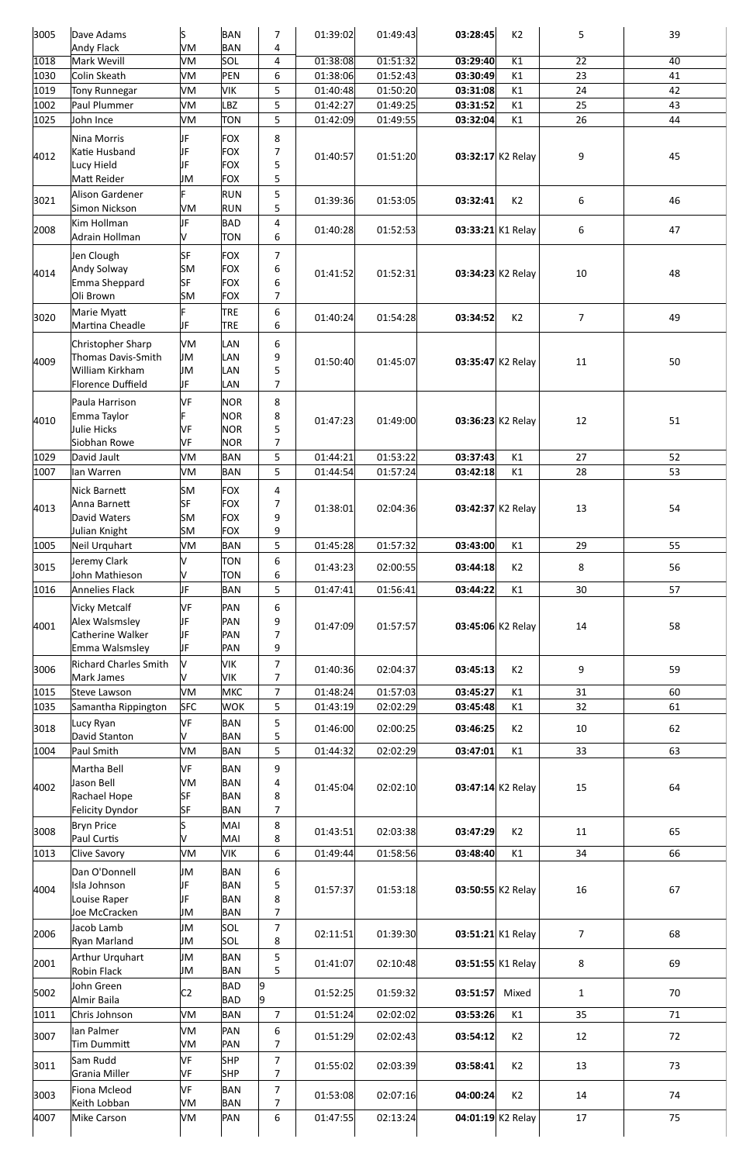| 3005 | Dave Adams                       | S              | <b>BAN</b>               | 7                       | 01:39:02 | 01:49:43 | 03:28:45          | K <sub>2</sub> | 5               | 39 |
|------|----------------------------------|----------------|--------------------------|-------------------------|----------|----------|-------------------|----------------|-----------------|----|
|      | <b>Andy Flack</b>                | VM             | <b>BAN</b>               | 4                       |          |          |                   |                |                 |    |
| 1018 | Mark Wevill                      | VM             | SOL                      | $\overline{4}$          | 01:38:08 | 01:51:32 | 03:29:40          | K1             | $\overline{22}$ | 40 |
| 1030 | Colin Skeath                     | VM             | PEN                      | 6                       | 01:38:06 | 01:52:43 | 03:30:49          | K1             | 23              | 41 |
| 1019 | <b>Tony Runnegar</b>             | VM             | <b>VIK</b>               | 5                       | 01:40:48 | 01:50:20 | 03:31:08          | K1             | 24              | 42 |
| 1002 | Paul Plummer                     | VM             | <b>LBZ</b>               | 5                       | 01:42:27 | 01:49:25 | 03:31:52          | K1             | 25              | 43 |
| 1025 | John Ince                        | VM             | <b>TON</b>               | 5                       | 01:42:09 | 01:49:55 | 03:32:04          | K1             | 26              | 44 |
|      | Nina Morris                      | JF             | <b>FOX</b>               | 8                       |          |          |                   |                |                 |    |
| 4012 | Katie Husband                    | IJF            | <b>FOX</b>               | $\overline{7}$          | 01:40:57 | 01:51:20 | 03:32:17 K2 Relay |                | 9               | 45 |
|      | Lucy Hield<br>Matt Reider        | IJF<br>JM      | <b>FOX</b><br><b>FOX</b> | 5<br>5                  |          |          |                   |                |                 |    |
|      | Alison Gardener                  | F              | <b>RUN</b>               | 5                       |          |          |                   |                |                 |    |
| 3021 | Simon Nickson                    | VM             | <b>RUN</b>               | 5                       | 01:39:36 | 01:53:05 | 03:32:41          | K2             | 6               | 46 |
|      | Kim Hollman                      | IJF            | <b>BAD</b>               | $\overline{\mathbf{4}}$ |          |          |                   |                |                 |    |
| 2008 | Adrain Hollman                   | V              | <b>TON</b>               | 6                       | 01:40:28 | 01:52:53 | 03:33:21 K1 Relay |                | 6               | 47 |
|      |                                  | <b>SF</b>      | <b>FOX</b>               | $\overline{7}$          |          |          |                   |                |                 |    |
|      | Jen Clough<br><b>Andy Solway</b> | <b>SM</b>      | <b>FOX</b>               | 6                       |          |          |                   |                |                 |    |
| 4014 | Emma Sheppard                    | <b>SF</b>      | <b>FOX</b>               | 6                       | 01:41:52 | 01:52:31 | 03:34:23 K2 Relay |                | 10              | 48 |
|      | Oli Brown                        | <b>SM</b>      | <b>FOX</b>               | $\overline{7}$          |          |          |                   |                |                 |    |
|      | Marie Myatt                      | F              | <b>TRE</b>               | 6                       |          |          |                   |                |                 |    |
| 3020 | Martina Cheadle                  | JF             | <b>TRE</b>               | $\,6\,$                 | 01:40:24 | 01:54:28 | 03:34:52          | K <sub>2</sub> | $\overline{7}$  | 49 |
|      | Christopher Sharp                | VM             | <b>LAN</b>               | 6                       |          |          |                   |                |                 |    |
| 4009 | Thomas Davis-Smith               | IJМ            | <b>LAN</b>               | 9                       | 01:50:40 | 01:45:07 | 03:35:47 K2 Relay |                | 11              | 50 |
|      | William Kirkham                  | JM             | <b>LAN</b>               | 5                       |          |          |                   |                |                 |    |
|      | Florence Duffield                | IJF.           | <b>LAN</b>               | $\overline{7}$          |          |          |                   |                |                 |    |
|      | Paula Harrison                   | <b>VF</b>      | <b>NOR</b>               | 8                       |          |          |                   |                |                 |    |
| 4010 | Emma Taylor                      |                | <b>NOR</b>               | 8                       | 01:47:23 | 01:49:00 | 03:36:23 K2 Relay |                | 12              | 51 |
|      | Julie Hicks                      | VF             | <b>NOR</b>               | 5                       |          |          |                   |                |                 |    |
|      | Siobhan Rowe                     | VF             | <b>NOR</b>               | 7                       |          |          |                   |                |                 |    |
| 1029 | David Jault                      | VM             | <b>BAN</b>               | 5                       | 01:44:21 | 01:53:22 | 03:37:43          | K1             | 27              | 52 |
| 1007 | lan Warren                       | VM             | <b>BAN</b>               | 5                       | 01:44:54 | 01:57:24 | 03:42:18          | K1             | 28              | 53 |
|      | Nick Barnett                     | <b>SM</b>      | <b>FOX</b>               | 4                       |          |          |                   |                |                 |    |
| 4013 | Anna Barnett                     | <b>SF</b>      | <b>FOX</b>               | 7                       | 01:38:01 | 02:04:36 | 03:42:37 K2 Relay |                | 13              | 54 |
|      | David Waters                     | <b>SM</b>      | <b>FOX</b>               | 9                       |          |          |                   |                |                 |    |
|      | Julian Knight                    | SM             | <b>FOX</b>               | 9                       |          |          |                   |                |                 |    |
| 1005 | Neil Urquhart                    | VM             | <b>BAN</b>               | 5                       | 01:45:28 | 01:57:32 | 03:43:00          | K1             | 29              | 55 |
| 3015 | Jeremy Clark<br>John Mathieson   | V<br>V         | TON<br><b>TON</b>        | 6<br>6                  | 01:43:23 | 02:00:55 | 03:44:18          | K2             | 8               | 56 |
| 1016 | Annelies Flack                   | JF             | <b>BAN</b>               | 5                       | 01:47:41 | 01:56:41 | 03:44:22          | K1             | 30              | 57 |
|      | <b>Vicky Metcalf</b>             | <b>VF</b>      | PAN                      | 6                       |          |          |                   |                |                 |    |
|      | Alex Walsmsley                   | IJF            | PAN                      | 9                       |          |          |                   |                |                 |    |
| 4001 | Catherine Walker                 | IJF            | PAN                      | $\overline{7}$          | 01:47:09 | 01:57:57 | 03:45:06 K2 Relay |                | 14              | 58 |
|      | Emma Walsmsley                   | IJF            | PAN                      | 9                       |          |          |                   |                |                 |    |
|      | <b>Richard Charles Smith</b>     | lv             | VIK                      | $\overline{7}$          |          |          |                   |                |                 |    |
| 3006 | Mark James                       | V              | <b>VIK</b>               | $\overline{7}$          | 01:40:36 | 02:04:37 | 03:45:13          | K <sub>2</sub> | 9               | 59 |
| 1015 | Steve Lawson                     | VM             | <b>MKC</b>               | $\overline{7}$          | 01:48:24 | 01:57:03 | 03:45:27          | K1             | 31              | 60 |
| 1035 | Samantha Rippington              | <b>SFC</b>     | <b>WOK</b>               | 5                       | 01:43:19 | 02:02:29 | 03:45:48          | K1             | 32              | 61 |
| 3018 | Lucy Ryan                        | <b>VF</b>      | <b>BAN</b>               | 5                       | 01:46:00 | 02:00:25 | 03:46:25          | K <sub>2</sub> | 10              | 62 |
|      | David Stanton                    | v              | <b>BAN</b>               | 5                       |          |          |                   |                |                 |    |
| 1004 | Paul Smith                       | VM             | <b>BAN</b>               | 5                       | 01:44:32 | 02:02:29 | 03:47:01          | K1             | 33              | 63 |
|      | Martha Bell                      | VF             | <b>BAN</b>               | 9                       |          |          |                   |                |                 |    |
| 4002 | Jason Bell                       | VM             | <b>BAN</b>               | 4                       | 01:45:04 | 02:02:10 | 03:47:14 K2 Relay |                | 15              | 64 |
|      | Rachael Hope                     | <b>SF</b>      | <b>BAN</b>               | 8                       |          |          |                   |                |                 |    |
|      | Felicity Dyndor                  | SF             | <b>BAN</b>               | $\overline{7}$          |          |          |                   |                |                 |    |
| 3008 | <b>Bryn Price</b><br>Paul Curtis | S.<br>V        | MAI<br>MAI               | 8<br>8                  | 01:43:51 | 02:03:38 | 03:47:29          | K2             | 11              | 65 |
| 1013 | <b>Clive Savory</b>              | VM             | <b>VIK</b>               | 6                       | 01:49:44 | 01:58:56 | 03:48:40          | K1             | 34              | 66 |
|      |                                  |                |                          |                         |          |          |                   |                |                 |    |
|      | Dan O'Donnell<br>Isla Johnson    | JM<br>IJF      | <b>BAN</b><br><b>BAN</b> | 6                       |          |          |                   |                |                 |    |
| 4004 | Louise Raper                     | IJF            | <b>BAN</b>               | 5<br>8                  | 01:57:37 | 01:53:18 | 03:50:55 K2 Relay |                | 16              | 67 |
|      | Joe McCracken                    | JM             | <b>BAN</b>               | $\overline{7}$          |          |          |                   |                |                 |    |
|      | Jacob Lamb                       | JM             | SOL                      | $\overline{7}$          |          |          |                   |                |                 |    |
| 2006 | <b>Ryan Marland</b>              | JM             | SOL                      | 8                       | 02:11:51 | 01:39:30 | 03:51:21 K1 Relay |                | 7 <sup>1</sup>  | 68 |
|      | Arthur Urquhart                  | JM             | <b>BAN</b>               | 5                       |          |          |                   |                |                 |    |
| 2001 | <b>Robin Flack</b>               | JM             | <b>BAN</b>               | 5                       | 01:41:07 | 02:10:48 | 03:51:55 K1 Relay |                | 8               | 69 |
|      | John Green                       |                | <b>BAD</b>               |                         |          |          |                   |                |                 |    |
| 5002 | Almir Baila                      | C <sub>2</sub> | <b>BAD</b>               | 9                       | 01:52:25 | 01:59:32 | 03:51:57          | Mixed          | $\mathbf{1}$    | 70 |
| 1011 | Chris Johnson                    | VM             | <b>BAN</b>               | $\overline{7}$          | 01:51:24 | 02:02:02 | 03:53:26          | K1             | 35              | 71 |
| 3007 | lan Palmer                       | VM             | PAN                      | 6                       | 01:51:29 | 02:02:43 | 03:54:12          | K2             | 12              | 72 |
|      | Tim Dummitt                      | VM             | PAN                      | $\overline{7}$          |          |          |                   |                |                 |    |
| 3011 | Sam Rudd                         | <b>VF</b>      | <b>SHP</b>               | $\overline{7}$          | 01:55:02 | 02:03:39 | 03:58:41          | K2             | 13              | 73 |
|      | Grania Miller                    | VF             | <b>SHP</b>               | $\overline{7}$          |          |          |                   |                |                 |    |
| 3003 | Fiona Mcleod                     | <b>VF</b>      | <b>BAN</b>               | $\boldsymbol{7}$        | 01:53:08 | 02:07:16 | 04:00:24          | K <sub>2</sub> | 14              | 74 |
|      | Keith Lobban                     | VM             | <b>BAN</b>               | $\overline{7}$          |          |          |                   |                |                 |    |
| 4007 | Mike Carson                      | VM             | PAN                      | 6                       | 01:47:55 | 02:13:24 | 04:01:19 K2 Relay |                | 17              | 75 |